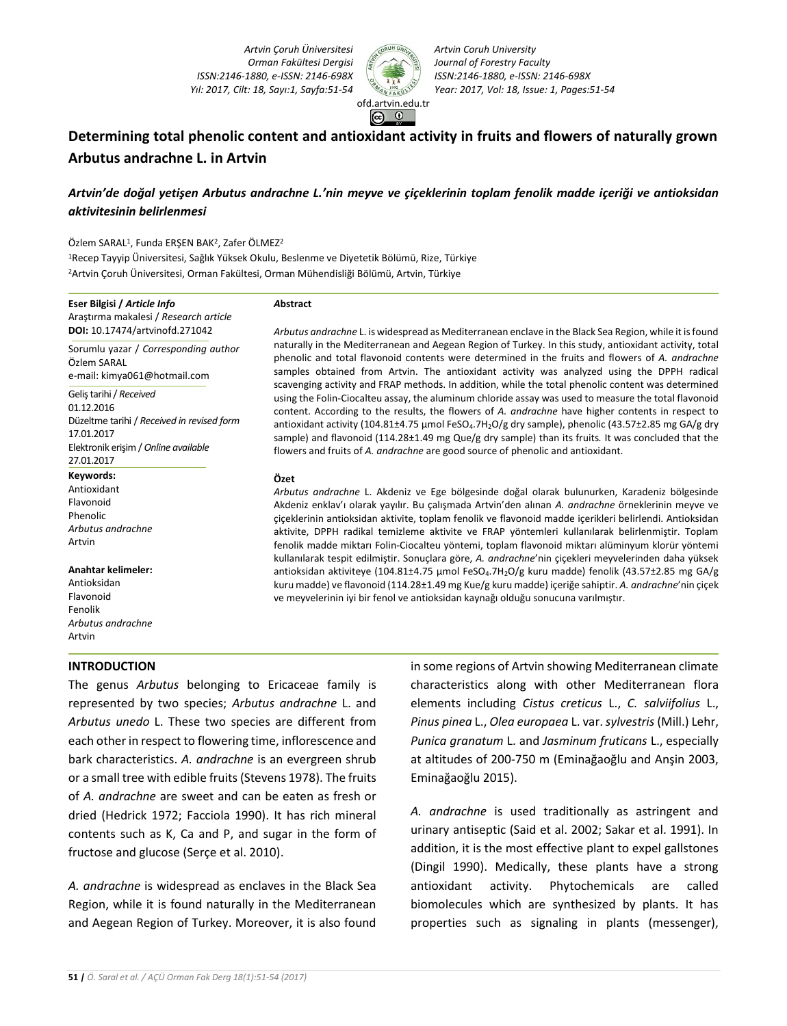*Artvin Çoruh Üniversitesi Orman Fakültesi Dergisi ISSN:2146-1880, e-ISSN: 2146-698X Yıl: 2017, Cilt: 18, Sayı:1, Sayfa:51-54 Year: 2017, Vol: 18, Issue: 1, Pages:51-54*



*Artvin Coruh University Journal of Forestry Faculty ISSN:2146-1880, e-ISSN: 2146-698X*

# **Determining total phenolic content and antioxidant activity in fruits and flowers of naturally grown Arbutus andrachne L. in Artvin**

# *Artvin'de doğal yetişen Arbutus andrachne L.'nin meyve ve çiçeklerinin toplam fenolik madde içeriği ve antioksidan aktivitesinin belirlenmesi*

Özlem SARAL<sup>1</sup>, Funda ERŞEN BAK<sup>2</sup>, Zafer ÖLMEZ<sup>2</sup>

<sup>1</sup>Recep Tayyip Üniversitesi, Sağlık Yüksek Okulu, Beslenme ve Diyetetik Bölümü, Rize, Türkiye <sup>2</sup>Artvin Çoruh Üniversitesi, Orman Fakültesi, Orman Mühendisliği Bölümü, Artvin, Türkiye

#### **Eser Bilgisi /** *Article Info*

Araştırma makalesi / *Research article* **DOI:** 10.17474/artvinofd.271042

Sorumlu yazar / *Corresponding author* Özlem SARAL e-mail: kimya061@hotmail.com

Geliş tarihi / *Received* 01.12.2016 Düzeltme tarihi / *Received in revised form* 17.01.2017 Elektronik erişim / *Online available* 27.01.2017

- **Keywords:**
- Antioxidant Flavonoid Phenolic *Arbutus andrachne* Artvin

#### **Anahtar kelimeler:**

Antioksidan Flavonoid Fenolik *Arbutus andrachne* Artvin

### **INTRODUCTION**

The genus *Arbutus* belonging to Ericaceae family is represented by two species; *Arbutus andrachne* L. and *Arbutus unedo* L. These two species are different from each other in respect to flowering time, inflorescence and bark characteristics. *A. andrachne* is an evergreen shrub or a small tree with edible fruits (Stevens 1978). The fruits of *A. andrachne* are sweet and can be eaten as fresh or dried (Hedrick 1972; Facciola 1990). It has rich mineral contents such as K, Ca and P, and sugar in the form of fructose and glucose (Serçe et al. 2010).

*A. andrachne* is widespread as enclaves in the Black Sea Region, while it is found naturally in the Mediterranean and Aegean Region of Turkey. Moreover, it is also found

*A***bstract**

*Arbutus andrachne* L. is widespread as Mediterranean enclave in the Black Sea Region, while it is found naturally in the Mediterranean and Aegean Region of Turkey. In this study, antioxidant activity, total phenolic and total flavonoid contents were determined in the fruits and flowers of *A. andrachne* samples obtained from Artvin. The antioxidant activity was analyzed using the DPPH radical scavenging activity and FRAP methods. In addition, while the total phenolic content was determined using the Folin-Ciocalteu assay, the aluminum chloride assay was used to measure the total flavonoid content. According to the results, the flowers of *A. andrachne* have higher contents in respect to antioxidant activity (104.81±4.75 μmol FeSO<sub>4</sub>.7H<sub>2</sub>O/g dry sample), phenolic (43.57±2.85 mg GA/g dry sample) and flavonoid (114.28±1.49 mg Que/g dry sample) than its fruits*.* It was concluded that the flowers and fruits of *A. andrachne* are good source of phenolic and antioxidant.

#### **Özet**

*Arbutus andrachne* L. Akdeniz ve Ege bölgesinde doğal olarak bulunurken, Karadeniz bölgesinde Akdeniz enklav'ı olarak yayılır. Bu çalışmada Artvin'den alınan *A. andrachne* örneklerinin meyve ve çiçeklerinin antioksidan aktivite, toplam fenolik ve flavonoid madde içerikleri belirlendi. Antioksidan aktivite, DPPH radikal temizleme aktivite ve FRAP yöntemleri kullanılarak belirlenmiştir. Toplam fenolik madde miktarı Folin-Ciocalteu yöntemi, toplam flavonoid miktarı alüminyum klorür yöntemi kullanılarak tespit edilmiştir. Sonuçlara göre, *A. andrachne*'nin çiçekleri meyvelerinden daha yüksek antioksidan aktiviteye (104.81±4.75 µmol FeSO<sub>4</sub>.7H<sub>2</sub>O/g kuru madde) fenolik (43.57±2.85 mg GA/g kuru madde) ve flavonoid (114.28±1.49 mg Kue/g kuru madde) içeriğe sahiptir. *A. andrachne*'nin çiçek ve meyvelerinin iyi bir fenol ve antioksidan kaynağı olduğu sonucuna varılmıştır.

> in some regions of Artvin showing Mediterranean climate characteristics along with other Mediterranean flora elements including *Cistus creticus* L., *C. salviifolius* L., *Pinus pinea* L., *Olea europaea* L. var. *sylvestris* (Mill.) Lehr, *Punica granatum* L. and *Jasminum fruticans* L., especially at altitudes of 200-750 m (Eminağaoğlu and Anşin 2003, Eminağaoğlu 2015).

*A. andrachne* is used traditionally as astringent and urinary antiseptic (Said et al. 2002; Sakar et al. 1991). In addition, it is the most effective plant to expel gallstones (Dingil 1990). Medically, these plants have a strong antioxidant activity. Phytochemicals are called biomolecules which are synthesized by plants. It has properties such as signaling in plants (messenger),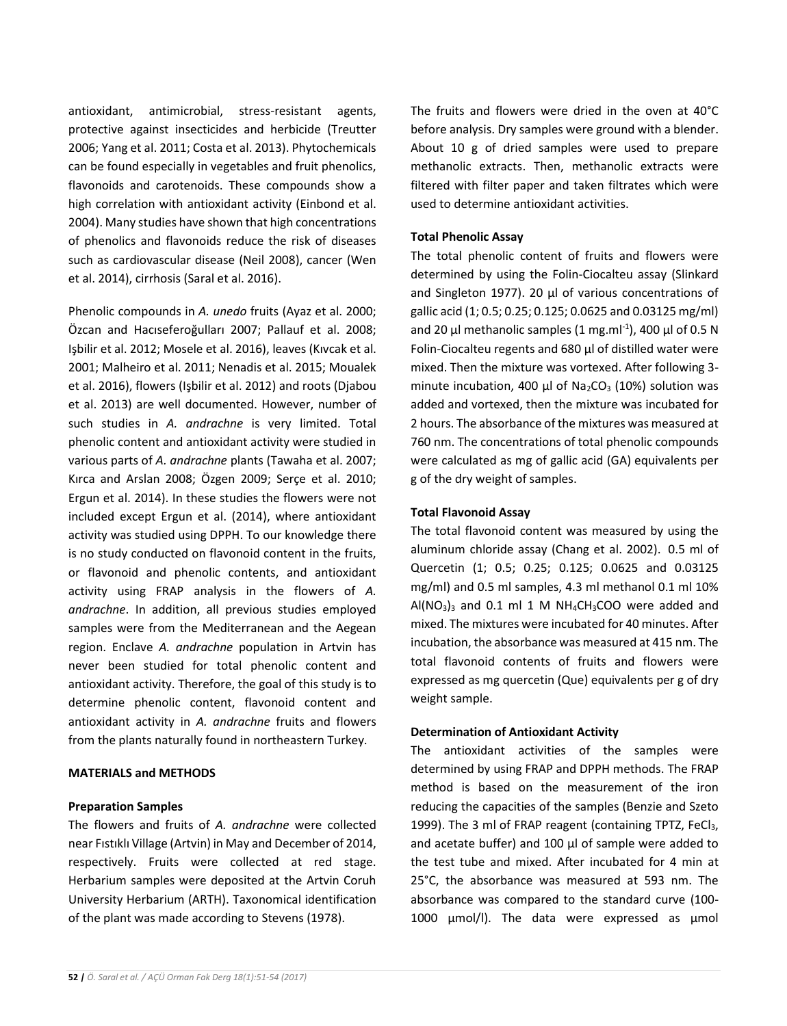antioxidant, antimicrobial, stress-resistant agents, protective against insecticides and herbicide (Treutter 2006; Yang et al. 2011; Costa et al. 2013). Phytochemicals can be found especially in vegetables and fruit phenolics, flavonoids and carotenoids. These compounds show a high correlation with antioxidant activity (Einbond et al. 2004). Many studies have shown that high concentrations of phenolics and flavonoids reduce the risk of diseases such as cardiovascular disease (Neil 2008), cancer (Wen et al. 2014), cirrhosis (Saral et al. 2016).

Phenolic compounds in *A. unedo* fruits (Ayaz et al. 2000; Özcan and Hacıseferoğulları 2007; Pallauf et al. 2008; Işbilir et al. 2012; Mosele et al. 2016), leaves (Kıvcak et al. 2001; Malheiro et al. 2011; Nenadis et al. 2015; Moualek et al. 2016), flowers (Işbilir et al. 2012) and roots (Djabou et al. 2013) are well documented. However, number of such studies in *A. andrachne* is very limited. Total phenolic content and antioxidant activity were studied in various parts of *A. andrachne* plants (Tawaha et al. 2007; Kırca and Arslan 2008; Özgen 2009; Serçe et al. 2010; Ergun et al. 2014). In these studies the flowers were not included except Ergun et al. (2014), where antioxidant activity was studied using DPPH. To our knowledge there is no study conducted on flavonoid content in the fruits, or flavonoid and phenolic contents, and antioxidant activity using FRAP analysis in the flowers of *A. andrachne*. In addition, all previous studies employed samples were from the Mediterranean and the Aegean region. Enclave *A. andrachne* population in Artvin has never been studied for total phenolic content and antioxidant activity. Therefore, the goal of this study is to determine phenolic content, flavonoid content and antioxidant activity in *A. andrachne* fruits and flowers from the plants naturally found in northeastern Turkey.

### **MATERIALS and METHODS**

### **Preparation Samples**

The flowers and fruits of *A. andrachne* were collected near Fıstıklı Village (Artvin) in May and December of 2014, respectively. Fruits were collected at red stage. Herbarium samples were deposited at the Artvin Coruh University Herbarium (ARTH). Taxonomical identification of the plant was made according to Stevens (1978).

The fruits and flowers were dried in the oven at 40°C before analysis. Dry samples were ground with a blender. About 10 g of dried samples were used to prepare methanolic extracts. Then, methanolic extracts were filtered with filter paper and taken filtrates which were used to determine antioxidant activities.

# **Total Phenolic Assay**

The total phenolic content of fruits and flowers were determined by using the Folin-Ciocalteu assay (Slinkard and Singleton 1977). 20 µl of various concentrations of gallic acid (1; 0.5; 0.25; 0.125; 0.0625 and 0.03125 mg/ml) and 20  $\mu$ l methanolic samples (1 mg.ml<sup>-1</sup>), 400  $\mu$ l of 0.5 N Folin-Ciocalteu regents and 680 µl of distilled water were mixed. Then the mixture was vortexed. After following 3 minute incubation, 400  $\mu$ l of Na<sub>2</sub>CO<sub>3</sub> (10%) solution was added and vortexed, then the mixture was incubated for 2 hours. The absorbance of the mixtures was measured at 760 nm. The concentrations of total phenolic compounds were calculated as mg of gallic acid (GA) equivalents per g of the dry weight of samples.

## **Total Flavonoid Assay**

The total flavonoid content was measured by using the aluminum chloride assay (Chang et al. 2002). 0.5 ml of Quercetin (1; 0.5; 0.25; 0.125; 0.0625 and 0.03125 mg/ml) and 0.5 ml samples, 4.3 ml methanol 0.1 ml 10%  $Al(NO<sub>3</sub>)<sub>3</sub>$  and 0.1 ml 1 M  $NH<sub>4</sub>CH<sub>3</sub>COO$  were added and mixed. The mixtures were incubated for 40 minutes. After incubation, the absorbance was measured at 415 nm. The total flavonoid contents of fruits and flowers were expressed as mg quercetin (Que) equivalents per g of dry weight sample.

### **Determination of Antioxidant Activity**

The antioxidant activities of the samples were determined by using FRAP and DPPH methods. The FRAP method is based on the measurement of the iron reducing the capacities of the samples (Benzie and Szeto 1999). The 3 ml of FRAP reagent (containing TPTZ, FeCl<sub>3</sub>, and acetate buffer) and 100 µl of sample were added to the test tube and mixed. After incubated for 4 min at 25°C, the absorbance was measured at 593 nm. The absorbance was compared to the standard curve (100- 1000 µmol/l). The data were expressed as µmol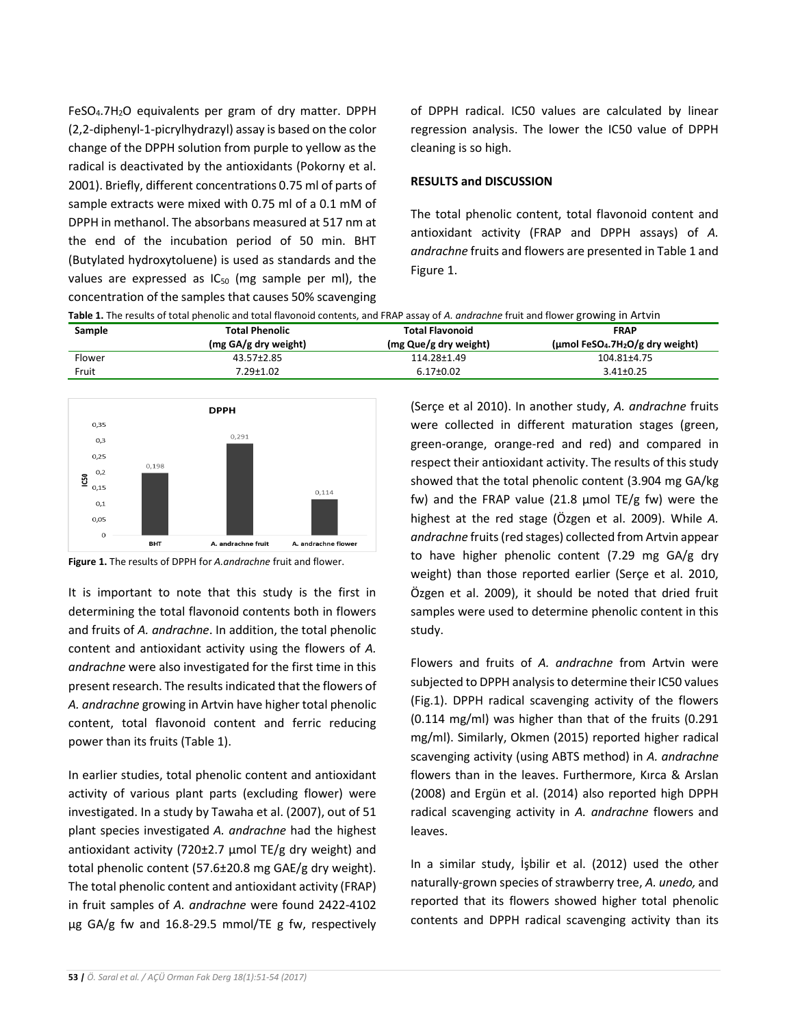FeSO4.7H2O equivalents per gram of dry matter. DPPH (2,2-diphenyl-1-picrylhydrazyl) assay is based on the color change of the DPPH solution from purple to yellow as the radical is deactivated by the antioxidants (Pokorny et al. 2001). Briefly, different concentrations 0.75 ml of parts of sample extracts were mixed with 0.75 ml of a 0.1 mM of DPPH in methanol. The absorbans measured at 517 nm at the end of the incubation period of 50 min. BHT (Butylated hydroxytoluene) is used as standards and the values are expressed as  $IC_{50}$  (mg sample per ml), the concentration of the samples that causes 50% scavenging

of DPPH radical. IC50 values are calculated by linear regression analysis. The lower the IC50 value of DPPH cleaning is so high.

# **RESULTS and DISCUSSION**

The total phenolic content, total flavonoid content and antioxidant activity (FRAP and DPPH assays) of *A. andrachne* fruits and flowers are presented in Table 1 and Figure 1.

**Table 1.** The results of total phenolic and total flavonoid contents, and FRAP assay of *A. andrachne* fruit and flower growing in Artvin

| Sample | <b>Total Phenolic</b> | <b>Total Flavonoid</b> | <b>FRAP</b>                                  |
|--------|-----------------------|------------------------|----------------------------------------------|
|        | (mg GA/g dry weight)  | (mg Que/g dry weight)  | $(\mu \text{mol FeSO}_4.7H_2O/g$ dry weight) |
| Flower | 43.57±2.85            | 114.28±1.49            | 104.81±4.75                                  |
| Fruit  | 7.29±1.02             | $6.17 \pm 0.02$        | 3.41±0.25                                    |



**Figure 1.** The results of DPPH for *A.andrachne* fruit and flower.

It is important to note that this study is the first in determining the total flavonoid contents both in flowers and fruits of *A. andrachne*. In addition, the total phenolic content and antioxidant activity using the flowers of *A. andrachne* were also investigated for the first time in this present research. The results indicated that the flowers of *A. andrachne* growing in Artvin have higher total phenolic content, total flavonoid content and ferric reducing power than its fruits (Table 1).

In earlier studies, total phenolic content and antioxidant activity of various plant parts (excluding flower) were investigated. In a study by Tawaha et al. (2007), out of 51 plant species investigated *A. andrachne* had the highest antioxidant activity (720 $\pm$ 2.7 µmol TE/g dry weight) and total phenolic content (57.6±20.8 mg GAE/g dry weight). The total phenolic content and antioxidant activity (FRAP) in fruit samples of *A. andrachne* were found 2422-4102 µg GA/g fw and 16.8-29.5 mmol/TE g fw, respectively

(Serçe et al 2010). In another study, *A. andrachne* fruits were collected in different maturation stages (green, green-orange, orange-red and red) and compared in respect their antioxidant activity. The results of this study showed that the total phenolic content (3.904 mg GA/kg fw) and the FRAP value (21.8  $\mu$ mol TE/g fw) were the highest at the red stage (Özgen et al. 2009). While *A. andrachne* fruits (red stages) collected from Artvin appear to have higher phenolic content (7.29 mg GA/g dry weight) than those reported earlier (Serçe et al. 2010, Özgen et al. 2009), it should be noted that dried fruit samples were used to determine phenolic content in this study.

Flowers and fruits of *A. andrachne* from Artvin were subjected to DPPH analysis to determine their IC50 values (Fig.1). DPPH radical scavenging activity of the flowers (0.114 mg/ml) was higher than that of the fruits (0.291 mg/ml). Similarly, Okmen (2015) reported higher radical scavenging activity (using ABTS method) in *A. andrachne*  flowers than in the leaves. Furthermore, Kırca & Arslan (2008) and Ergün et al. (2014) also reported high DPPH radical scavenging activity in *A. andrachne* flowers and leaves.

In a similar study, İşbilir et al. (2012) used the other naturally-grown species of strawberry tree, *A. unedo,* and reported that its flowers showed higher total phenolic contents and DPPH radical scavenging activity than its